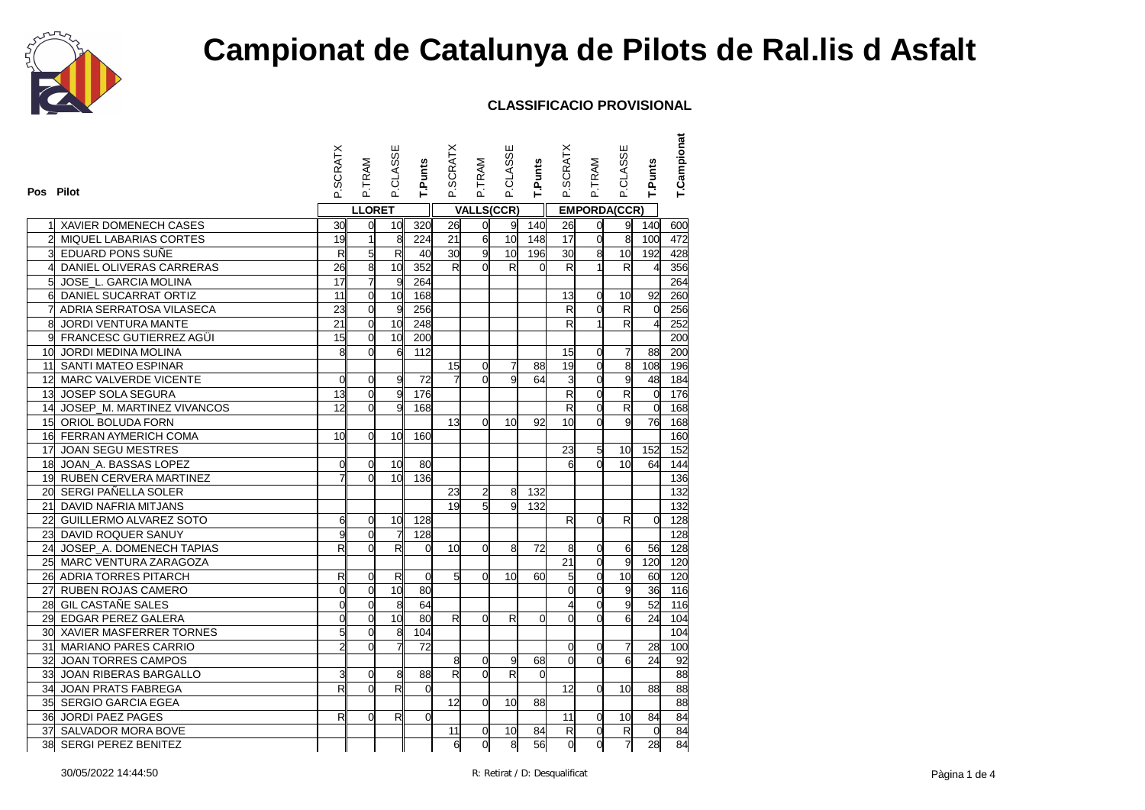

| Pos Pilot       |                               | <b>SCRATX</b>           | P.TRAM         | P.CLASSE        | T.Punts        | P.SCRATX                | P.TRAM            | P.CLASSE        | T.Punts  | P.SCRATX        | <b>P.TRAM</b>       | P.CLASSE                | T.Punts        | T.Campionat     |
|-----------------|-------------------------------|-------------------------|----------------|-----------------|----------------|-------------------------|-------------------|-----------------|----------|-----------------|---------------------|-------------------------|----------------|-----------------|
|                 |                               |                         | <b>LLORET</b>  |                 |                |                         | <b>VALLS(CCR)</b> |                 |          |                 | <b>EMPORDA(CCR)</b> |                         |                |                 |
|                 | XAVIER DOMENECH CASES         | 30 <sup>1</sup>         | $\overline{0}$ | 10 <sub>l</sub> | 320            | 26                      | $\overline{0}$    | 9               | 140      | 26              | 0                   | 9                       | 140            | 600             |
| 2               | MIQUEL LABARIAS CORTES        | 19                      | $\mathbf{1}$   | 8               | 224            | 21                      | 6                 | 10              | 148      | 17              | o                   | 8                       | 100            | 472             |
|                 | 3 EDUARD PONS SUÑE            | $\overline{\mathsf{R}}$ | 5              | $\overline{R}$  | 40             | 30                      | 9                 | 10              | 196      | 30              | œ.                  | 10 <sup>1</sup>         | 192            | 428             |
| 4               | DANIEL OLIVERAS CARRERAS      | 26                      | 8              | 10              | 352            | $R_{\parallel}$         | $\Omega$          | R               | $\Omega$ | R               | $\overline{1}$      | R                       | $\overline{4}$ | 356             |
| 5 <sup>1</sup>  | JOSE_L. GARCIA MOLINA         | 17                      | $\overline{7}$ | 9               | 264            |                         |                   |                 |          |                 |                     |                         |                | 264             |
|                 | 6 DANIEL SUCARRAT ORTIZ       | 11                      | $\overline{0}$ | 10              | 168            |                         |                   |                 |          | 13              | $\mathbf 0$         | 10                      | 92             | 260             |
|                 | ADRIA SERRATOSA VILASECA      | 23                      | $\mathbf 0$    | 9               | 256            |                         |                   |                 |          | R               | o                   | R                       | $\mathbf 0$    | 256             |
| 8               | JORDI VENTURA MANTE           | 21                      | $\overline{0}$ | 10              | 248            |                         |                   |                 |          | R               | $\overline{1}$      | R                       | $\overline{4}$ | 252             |
|                 | 9 FRANCESC GUTIERREZ AGÜI     | 15                      | $\mathbf 0$    | 10              | 200            |                         |                   |                 |          |                 |                     |                         |                | 200             |
|                 | 10 JORDI MEDINA MOLINA        | 8                       | $\overline{0}$ | $6\overline{6}$ | 112            |                         |                   |                 |          | 15              | 0                   | $\overline{7}$          | 88             | 200             |
|                 | 11 SANTI MATEO ESPINAR        |                         |                |                 |                | 15                      | 0                 | $\overline{7}$  | 88       | 19              | $\overline{0}$      | 8                       | 108            | 196             |
|                 | 12 MARC VALVERDE VICENTE      | $\overline{0}$          | $\overline{0}$ | 9               | 72             | 7                       | $\Omega$          | 9               | 64       | 3               | $\mathbf 0$         | 9                       | 48             | 184             |
|                 | 13 JOSEP SOLA SEGURA          | 13                      | $\overline{0}$ | 9.              | 176            |                         |                   |                 |          | R               | $\overline{0}$      | R                       | $\mathbf 0$    | 176             |
|                 | 14 JOSEP_M. MARTINEZ VIVANCOS | 12 <sup>1</sup>         | $\Omega$       | $\overline{9}$  | 168            |                         |                   |                 |          | R               | $\overline{0}$      | $\overline{\mathsf{R}}$ | $\Omega$       | 168             |
|                 | 15 ORIOL BOLUDA FORN          |                         |                |                 |                | 13                      | $\Omega$          | 10 <sup>1</sup> | 92       | 10 <sup>1</sup> | $\Omega$            | $\overline{9}$          | 76             | 168             |
|                 | 16 FERRAN AYMERICH COMA       | 10 <sup>1</sup>         | $\overline{0}$ | 10              | 160            |                         |                   |                 |          |                 |                     |                         |                | 160             |
| 17 <sup>1</sup> | JOAN SEGU MESTRES             |                         |                |                 |                |                         |                   |                 |          | 23              | 5                   | 10                      | 152            | 152             |
|                 | 18 JOAN_A. BASSAS LOPEZ       | $\Omega$                | $\overline{0}$ | 10              | 80             |                         |                   |                 |          | 6               | $\Omega$            | 10 <sup>1</sup>         | 64             | 144             |
|                 | 19 RUBEN CERVERA MARTINEZ     |                         | $\overline{0}$ | 10 <sup>1</sup> | 136            |                         |                   |                 |          |                 |                     |                         |                | 136             |
|                 | 20 SERGI PAÑELLA SOLER        |                         |                |                 |                | 23                      | $\overline{2}$    | 8               | 132      |                 |                     |                         |                | 132             |
|                 | 21 DAVID NAFRIA MITJANS       |                         |                |                 |                | 19                      | $5\overline{a}$   | 9               | 132      |                 |                     |                         |                | 132             |
|                 | 22 GUILLERMO ALVAREZ SOTO     | 6                       | $\overline{0}$ | 10 <sup>1</sup> | 128            |                         |                   |                 |          | R               | $\Omega$            | $\mathsf{R}$            | $\Omega$       | 128             |
|                 | 23 DAVID ROQUER SANUY         | 9                       | $\overline{0}$ | $\overline{7}$  | 128            |                         |                   |                 |          |                 |                     |                         |                | 128             |
|                 | 24 JOSEP A. DOMENECH TAPIAS   | $\mathsf{R}$            | $\Omega$       | R               | $\overline{O}$ | 10                      | $\Omega$          | 8               | 72       | 8               | 0                   | $\mathbf{g}$            | 56             | 128             |
|                 | 25 MARC VENTURA ZARAGOZA      |                         |                |                 |                |                         |                   |                 |          | 21              | o                   | 9                       | 120            | 120             |
|                 | 26 ADRIA TORRES PITARCH       | R                       | $\overline{0}$ | R               | $\overline{0}$ | 5 <sup>1</sup>          | $\Omega$          | 10 <sup>1</sup> | 60       | 5               | $\overline{0}$      | 10                      | 60             | 120             |
|                 | 27 RUBEN ROJAS CAMERO         | $\mathbf{0}$            | $\overline{0}$ | 10              | 80             |                         |                   |                 |          | $\alpha$        | $\overline{0}$      | 9                       | 36             | 116             |
|                 | 28 GIL CASTAÑE SALES          | O                       | $\mathbf 0$    | $\overline{8}$  | 64             |                         |                   |                 |          | 4               | $\mathbf 0$         | 9                       | 52             | 116             |
|                 | 29 EDGAR PEREZ GALERA         | $\mathbf{0}$            | $\overline{0}$ | 10              | 80             | R                       | $\Omega$          | R               | $\Omega$ | $\overline{0}$  | $\overline{0}$      | 6                       | 24             | 10 <sub>4</sub> |
|                 | 30 XAVIER MASFERRER TORNES    | 5                       | $\overline{0}$ | 8               | 104            |                         |                   |                 |          |                 |                     |                         |                | 104             |
|                 | 31 MARIANO PARES CARRIO       | 2                       | $\Omega$       | $\overline{7}$  | 72             |                         |                   |                 |          | $\overline{0}$  | 0                   | 7                       | 28             | 100             |
|                 | 32 JOAN TORRES CAMPOS         |                         |                |                 |                | 8                       | $\Omega$          | 9               | 68       | $\alpha$        | $\Omega$            | 6                       | 24             | 92              |
|                 | 33 JOAN RIBERAS BARGALLO      | 3                       | $\Omega$       | 8               | 88             | $\overline{\mathsf{R}}$ | $\Omega$          | R               | $\Omega$ |                 |                     |                         |                | 88              |
|                 | 34 JOAN PRATS FABREGA         | $\mathsf{R}$            | $\Omega$       | R               | $\Omega$       |                         |                   |                 |          | 12              | $\overline{0}$      | 10                      | 88             | 88              |
|                 | 35 SERGIO GARCIA EGEA         |                         |                |                 |                | 12                      | $\Omega$          | 10              | 88       |                 |                     |                         |                | 88              |
|                 | 36 JORDI PAEZ PAGES           | R                       | $\Omega$       | R               | $\Omega$       |                         |                   |                 |          | 11              | 0                   | 10                      | 84             | 84              |
|                 | 37 SALVADOR MORA BOVE         |                         |                |                 |                | 11                      | $\overline{0}$    | 10              | 84       | R               | $\mathbf 0$         | $\mathsf{R}$            | $\mathbf 0$    | 84              |
|                 | 38 SERGI PEREZ BENITEZ        |                         |                |                 |                | 6                       | 0                 | $\overline{8}$  | 56       | d               | $\overline{0}$      | $\overline{7}$          | 28             | 84              |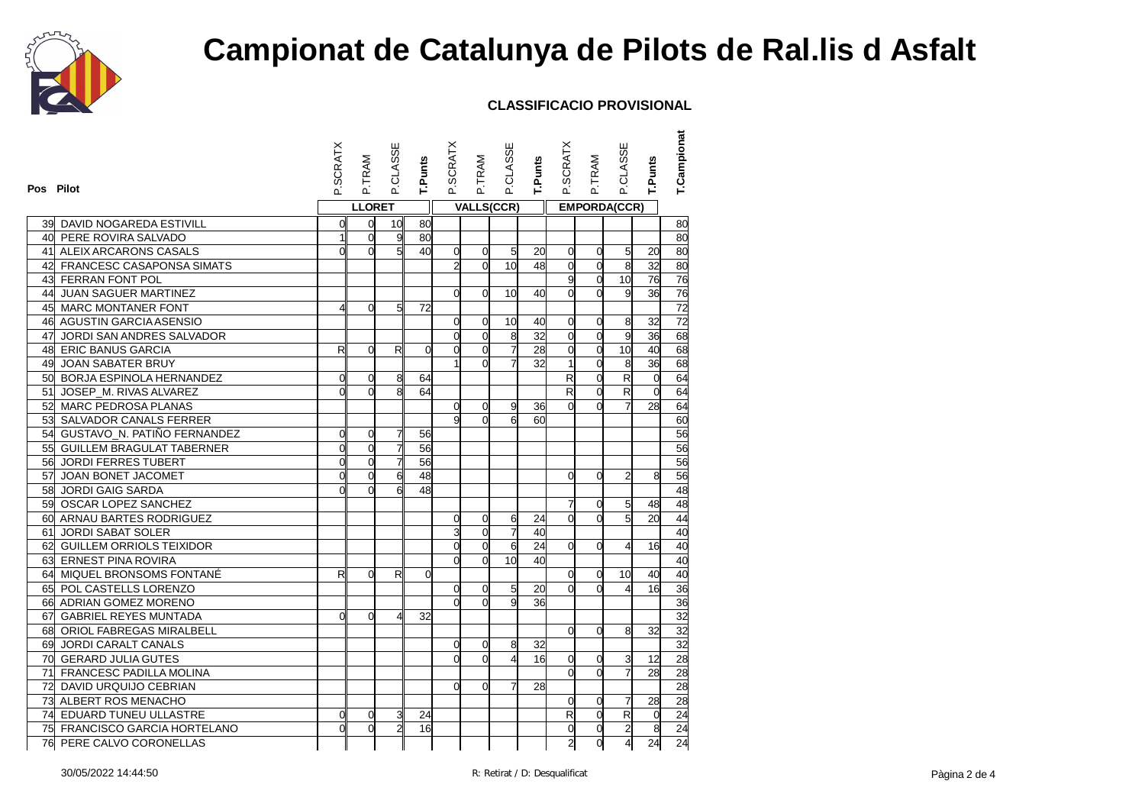

| Pos Pilot                      | P.SCRATX       | P.TRAM         | P.CLASSE       | T.Punts         | P.SCRATX       | P.TRAM         | P.CLASSE          | T.Punts | P.SCRATX                 | P.TRAM         | <b>P.CLASSE</b>         | <b>T.Punts</b> | T.Campionat     |
|--------------------------------|----------------|----------------|----------------|-----------------|----------------|----------------|-------------------|---------|--------------------------|----------------|-------------------------|----------------|-----------------|
|                                |                | <b>LLORET</b>  |                |                 |                |                | <b>VALLS(CCR)</b> |         |                          |                | <b>EMPORDA(CCR)</b>     |                |                 |
| 39 DAVID NOGAREDA ESTIVILL     | 0              | $\overline{0}$ | 10             | 80              |                |                |                   |         |                          |                |                         |                | 80              |
| 40 PERE ROVIRA SALVADO         | $\mathbf{1}$   | $\overline{0}$ | 9              | 80              |                |                |                   |         |                          |                |                         |                | 80              |
| 41 ALEIX ARCARONS CASALS       | $\Omega$       | $\Omega$       | 5              | 40              | 0              | $\overline{0}$ | 5 <sup>1</sup>    | 20      | $\mathbf 0$              | $\overline{0}$ | 5                       | 20             | 80              |
| 42 FRANCESC CASAPONSA SIMATS   |                |                |                |                 | $\overline{2}$ | $\Omega$       | 10 <sup>1</sup>   | 48      | $\overline{O}$           | $\Omega$       | 8                       | 32             | 80              |
| 43 FERRAN FONT POL             |                |                |                |                 |                |                |                   |         | 9                        | $\overline{0}$ | 10                      | 76             | 76              |
| 44 JUAN SAGUER MARTINEZ        |                |                |                |                 | <sub>O</sub>   | $\Omega$       | 10 <sup>1</sup>   | 40      | $\overline{O}$           | $\Omega$       | g                       | 36             | 76              |
| 45 MARC MONTANER FONT          | 4              | $\Omega$       | 5              | 72              |                |                |                   |         |                          |                |                         |                | $\overline{72}$ |
| 46 AGUSTIN GARCIA ASENSIO      |                |                |                |                 | $\Omega$       | $\Omega$       | 10                | 40      | $\overline{0}$           | $\Omega$       | 8                       | 32             | $\overline{72}$ |
| 47 JORDI SAN ANDRES SALVADOR   |                |                |                |                 | $\overline{0}$ | $\overline{0}$ | 8                 | 32      | $\mathsf{o}$             | $\overline{0}$ | 9                       | 36             | 68              |
| 48 ERIC BANUS GARCIA           | R              | $\overline{0}$ | R              | $\mathbf 0$     | $\overline{0}$ | $\overline{0}$ | 7                 | 28      | d                        | $\overline{0}$ | 10                      | 40             | 68              |
| 49 JOAN SABATER BRUY           |                |                |                |                 |                | $\Omega$       | 게                 | 32      | $\mathbf{1}$             | $\overline{0}$ | 8                       | 36             | 68              |
| 50 BORJA ESPINOLA HERNANDEZ    | 0              | $\overline{0}$ | 8              | 64              |                |                |                   |         | $\overline{\mathcal{R}}$ | $\overline{0}$ | $\overline{\mathsf{R}}$ | $\mathbf 0$    | 64              |
| 51 JOSEP M. RIVAS ALVAREZ      | $\Omega$       | $\Omega$       | 8              | 64              |                |                |                   |         | R                        | $\Omega$       | R                       | $\Omega$       | 64              |
| 52 MARC PEDROSA PLANAS         |                |                |                |                 | $\overline{0}$ | 0              | 9                 | 36      | $\Omega$                 | $\Omega$       |                         | 28             | 64              |
| 53 SALVADOR CANALS FERRER      |                |                |                |                 | g              | $\Omega$       | $6 \overline{6}$  | 60      |                          |                |                         |                | 60              |
| 54 GUSTAVO_N. PATIÑO FERNANDEZ | $\overline{0}$ | $\overline{0}$ | $\overline{7}$ | 56              |                |                |                   |         |                          |                |                         |                | 56              |
| 55 GUILLEM BRAGULAT TABERNER   | $\overline{0}$ | $\overline{0}$ | $\overline{1}$ | 56              |                |                |                   |         |                          |                |                         |                | 56              |
| 56 JORDI FERRES TUBERT         | O              | $\Omega$       | $\overline{7}$ | 56              |                |                |                   |         |                          |                |                         |                | 56              |
| 57 JOAN BONET JACOMET          | $\mathsf{d}$   | $\overline{0}$ | 6              | $\overline{48}$ |                |                |                   |         | $\Omega$                 | $\Omega$       | 2                       | 8              | 56              |
| 58 JORDI GAIG SARDA            | $\Omega$       | $\Omega$       |                | 48              |                |                |                   |         |                          |                |                         |                | 48              |
| 59 OSCAR LOPEZ SANCHEZ         |                |                |                |                 |                |                |                   |         | 7                        | $\overline{0}$ | 5                       | 48             | $\overline{48}$ |
| 60 ARNAU BARTES RODRIGUEZ      |                |                |                |                 | 0              | $\overline{0}$ | 6                 | 24      | $\overline{0}$           | $\Omega$       | $5\overline{1}$         | 20             | 44              |
| 61 JORDI SABAT SOLER           |                |                |                |                 | 3              | $\overline{0}$ | $\overline{7}$    | 40      |                          |                |                         |                | 40              |
| 62 GUILLEM ORRIOLS TEIXIDOR    |                |                |                |                 | $\Omega$       | $\overline{0}$ | 6                 | 24      | <sub>0</sub>             | $\Omega$       | 4                       | 16             | 40              |
| 63 ERNEST PINA ROVIRA          |                |                |                |                 | d              | $\Omega$       | 10                | 40      |                          |                |                         |                | 40              |
| 64 MIQUEL BRONSOMS FONTANÉ     | R              | $\Omega$       | R              | $\overline{0}$  |                |                |                   |         | d                        | $\overline{0}$ | 10                      | 40             | 40              |
| 65 POL CASTELLS LORENZO        |                |                |                |                 | $\overline{0}$ | 0              | 5 <sup>1</sup>    | 20      | $\Omega$                 | $\Omega$       | 4                       | 16             | 36              |
| 66 ADRIAN GOMEZ MORENO         |                |                |                |                 | $\Omega$       | $\Omega$       | $\mathbf{g}$      | 36      |                          |                |                         |                | 36              |
| 67 GABRIEL REYES MUNTADA       | $\Omega$       | $\Omega$       | 4              | 32              |                |                |                   |         |                          |                |                         |                | 32              |
| 68 ORIOL FABREGAS MIRALBELL    |                |                |                |                 |                |                |                   |         | $\overline{0}$           | $\Omega$       | 8                       | 32             | 32              |
| 69 JORDI CARALT CANALS         |                |                |                |                 | ΩI             | $\overline{0}$ | 8                 | 32      |                          |                |                         |                | 32              |
| 70 GERARD JULIA GUTES          |                |                |                |                 | $\Omega$       | $\Omega$       | $\overline{4}$    | 16      | $\Omega$                 | $\overline{0}$ | 3                       | 12             | $\overline{28}$ |
| 71 FRANCESC PADILLA MOLINA     |                |                |                |                 |                |                |                   |         | $\overline{0}$           | $\overline{0}$ | 7                       | 28             | 28              |
| 72 DAVID URQUIJO CEBRIAN       |                |                |                |                 | ΩI             | $\Omega$       | 7                 | 28      |                          |                |                         |                | $\overline{28}$ |
| 73 ALBERT ROS MENACHO          |                |                |                |                 |                |                |                   |         | $\overline{0}$           | $\overline{0}$ | 7                       | 28             | 28              |
| 74 EDUARD TUNEU ULLASTRE       | 0              | $\Omega$       | 3              | 24              |                |                |                   |         | R                        | $\overline{0}$ | $\overline{\mathsf{R}}$ | $\overline{0}$ | 24              |
| 75 FRANCISCO GARCIA HORTELANO  | $\mathbf{0}$   | $\Omega$       | $\overline{2}$ | 16              |                |                |                   |         | d                        | $\mathbf 0$    | $\overline{a}$          | $\overline{8}$ | 24              |
| 76 PERE CALVO CORONELLAS       |                |                |                |                 |                |                |                   |         | 2                        | $\overline{0}$ | 4                       | 24             | 24              |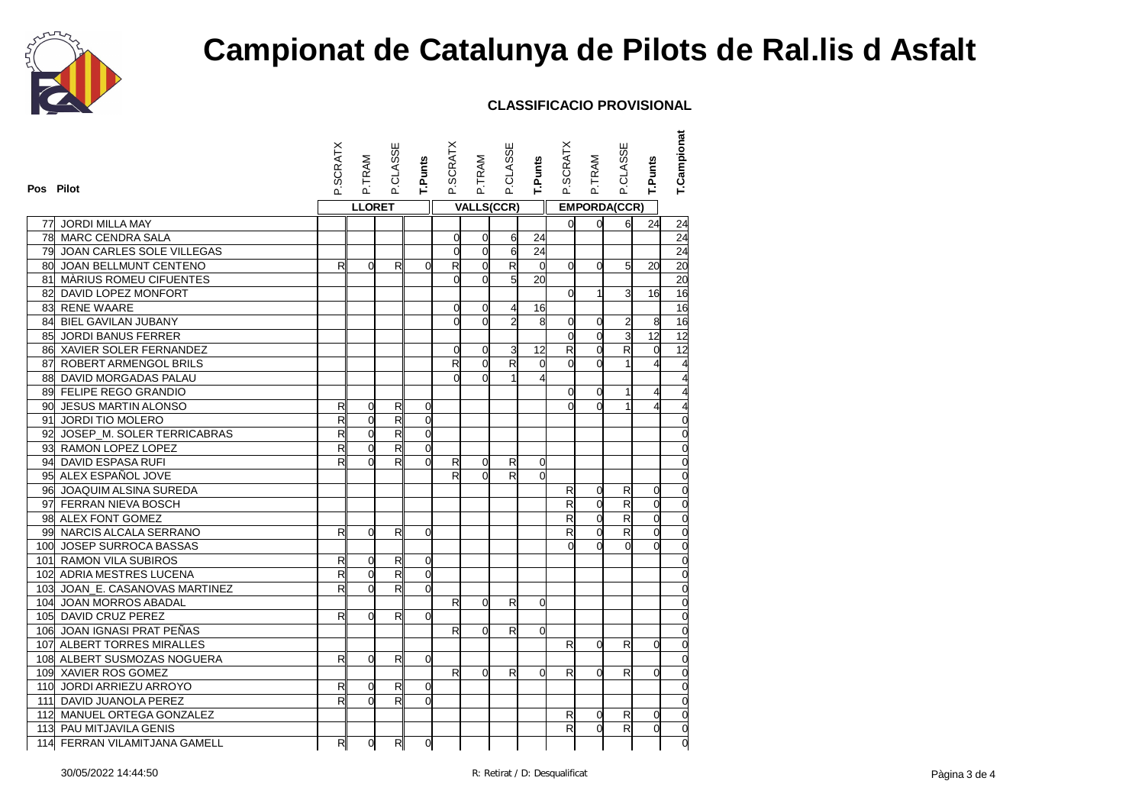

| Pos Pilot |                                | P.SCRATX                | P.TRAM         | P.CLASSE                | <b>T.Punts</b> | <b>P.SCRATX</b> | P.TRAM         | P.CLASSE                | T.Punts                 | P.SCRATX                 | P.TRAM              | P.CLASSE                | T.Punts        | T.Campionat     |
|-----------|--------------------------------|-------------------------|----------------|-------------------------|----------------|-----------------|----------------|-------------------------|-------------------------|--------------------------|---------------------|-------------------------|----------------|-----------------|
|           |                                |                         | <b>LLORET</b>  |                         |                |                 |                | <b>VALLS(CCR)</b>       |                         |                          | <b>EMPORDA(CCR)</b> |                         |                |                 |
| 77        | <b>JORDI MILLA MAY</b>         |                         |                |                         |                |                 |                |                         |                         | <sub>0</sub>             | $\Omega$            | $\mathsf{d}$            | 24             | 24              |
|           | <b>78 MARC CENDRA SALA</b>     |                         |                |                         |                | 0               | 0              | $6 \mid$                | 24                      |                          |                     |                         |                | 24              |
|           | 79 JOAN CARLES SOLE VILLEGAS   |                         |                |                         |                | O               | $\mathbf 0$    | $\overline{6}$          | 24                      |                          |                     |                         |                | $\overline{24}$ |
|           | 80 JOAN BELLMUNT CENTENO       | R                       | $\Omega$       | R                       | $\Omega$       | $\mathsf{R}$    | $\overline{0}$ | R                       | $\overline{0}$          | <sub>0</sub>             | $\Omega$            | $5 \,$                  | 20             | 20              |
|           | 81 MÀRIUS ROMEU CIFUENTES      |                         |                |                         |                | O               | $\Omega$       | $\overline{5}$          | 20                      |                          |                     |                         |                | $\overline{20}$ |
|           | 82 DAVID LOPEZ MONFORT         |                         |                |                         |                |                 |                |                         |                         | $\Omega$                 | 1                   | 3                       | 16             | 16              |
|           | 83 RENE WAARE                  |                         |                |                         |                | $\Omega$        | $\overline{0}$ | $\overline{4}$          | 16                      |                          |                     |                         |                | 16              |
|           | 84 BIEL GAVILAN JUBANY         |                         |                |                         |                |                 | $\Omega$       | $\overline{2}$          | 8                       | $\overline{0}$           | $\Omega$            | 2                       | 8              | 16              |
|           | 85 JORDI BANUS FERRER          |                         |                |                         |                |                 |                |                         |                         | $\Omega$                 | $\Omega$            | ω                       | 12             | 12              |
|           | 86 XAVIER SOLER FERNANDEZ      |                         |                |                         |                | $\overline{0}$  | $\overline{0}$ | $\overline{\mathbf{3}}$ | 12                      | R                        | $\Omega$            | $\mathsf{R}$            | $\overline{0}$ | $\overline{12}$ |
|           | 87 ROBERT ARMENGOL BRILS       |                         |                |                         |                | $\mathsf{R}$    | $\Omega$       | R                       | $\overline{0}$          | $\Omega$                 | $\Omega$            |                         | 4              |                 |
|           | 88 DAVID MORGADAS PALAU        |                         |                |                         |                | $\Omega$        | $\Omega$       | $\mathbf{1}$            | $\overline{\mathbf{4}}$ |                          |                     |                         |                |                 |
|           | 89 FELIPE REGO GRANDIO         |                         |                |                         |                |                 |                |                         |                         | <sub>0</sub>             | $\Omega$            |                         |                |                 |
|           | 90 JESUS MARTIN ALONSO         | R                       | $\overline{0}$ | R                       | $\overline{0}$ |                 |                |                         |                         | $\Omega$                 | $\Omega$            |                         | 4              |                 |
|           | 91 JORDI TIO MOLERO            | $\overline{\mathsf{R}}$ | $\Omega$       | $\overline{\mathsf{R}}$ | $\overline{0}$ |                 |                |                         |                         |                          |                     |                         |                | $\Omega$        |
|           | 92 JOSEP_M. SOLER TERRICABRAS  | R                       | $\overline{0}$ | $\overline{\mathsf{R}}$ | $\overline{0}$ |                 |                |                         |                         |                          |                     |                         |                | $\Omega$        |
|           | 93 RAMON LOPEZ LOPEZ           | R                       | $\overline{0}$ | $\mathsf{R}$            | $\overline{0}$ |                 |                |                         |                         |                          |                     |                         |                | $\Omega$        |
|           | 94 DAVID ESPASA RUFI           | R                       | $\Omega$       | R                       | $\Omega$       | R               | $\overline{0}$ | R                       | $\overline{0}$          |                          |                     |                         |                | $\overline{0}$  |
|           | 95 ALEX ESPAÑOL JOVE           |                         |                |                         |                | $\overline{R}$  | $\Omega$       | $\overline{R}$          | $\overline{0}$          |                          |                     |                         |                | $\overline{0}$  |
|           | 96 JOAQUIM ALSINA SUREDA       |                         |                |                         |                |                 |                |                         |                         | R                        | $\Omega$            | $\mathsf{R}$            | $\Omega$       | $\Omega$        |
|           | 97 FERRAN NIEVA BOSCH          |                         |                |                         |                |                 |                |                         |                         | R                        | $\overline{0}$      | $\mathsf{R}$            | 0              | $\mathbf 0$     |
|           | 98 ALEX FONT GOMEZ             |                         |                |                         |                |                 |                |                         |                         | $\overline{\mathcal{R}}$ | $\overline{0}$      | $\overline{\mathsf{R}}$ | $\overline{0}$ | $\mathbf 0$     |
|           | 99 NARCIS ALCALA SERRANO       | $\mathsf{R}$            | $\Omega$       | $\mathsf{R}$            | 0              |                 |                |                         |                         | R                        | $\Omega$            | $\mathsf{R}$            | $\overline{0}$ | $\overline{0}$  |
|           | 100 JOSEP SURROCA BASSAS       |                         |                |                         |                |                 |                |                         |                         |                          | $\Omega$            | $\Omega$                | $\Omega$       | $\overline{0}$  |
|           | 101 RAMON VILA SUBIROS         | R                       | $\Omega$       | R                       | $\overline{0}$ |                 |                |                         |                         |                          |                     |                         |                | $\overline{0}$  |
|           | 102 ADRIA MESTRES LUCENA       | R                       | $\overline{0}$ | $\overline{\mathsf{R}}$ | $\mathbf 0$    |                 |                |                         |                         |                          |                     |                         |                | $\Omega$        |
|           | 103 JOAN_E. CASANOVAS MARTINEZ | R                       | $\overline{0}$ | R                       | $\mathbf 0$    |                 |                |                         |                         |                          |                     |                         |                | $\Omega$        |
|           | 104 JOAN MORROS ABADAL         |                         |                |                         |                | R               | 0              | R                       | $\overline{0}$          |                          |                     |                         |                | $\mathbf 0$     |
|           | 105 DAVID CRUZ PEREZ           | R                       | $\Omega$       | $\mathsf{R}$            | $\Omega$       |                 |                |                         |                         |                          |                     |                         |                | $\Omega$        |
|           | 106 JOAN IGNASI PRAT PEÑAS     |                         |                |                         |                | R               | $\Omega$       | R                       | $\overline{0}$          |                          |                     |                         |                | $\mathbf 0$     |
|           | 107 ALBERT TORRES MIRALLES     |                         |                |                         |                |                 |                |                         |                         | R                        | $\Omega$            | $\mathsf{R}$            | $\Omega$       | $\overline{0}$  |
|           | 108 ALBERT SUSMOZAS NOGUERA    | $\mathsf{R}$            | $\Omega$       | R                       | $\overline{0}$ |                 |                |                         |                         |                          |                     |                         |                | 0               |
|           | 109 XAVIER ROS GOMEZ           |                         |                |                         |                | R               | $\Omega$       | R                       | 0                       | R                        | $\Omega$            | R                       | $\Omega$       | $\overline{0}$  |
|           | 110 JORDI ARRIEZU ARROYO       | R                       | $\overline{0}$ | R                       | $\overline{0}$ |                 |                |                         |                         |                          |                     |                         |                | $\overline{0}$  |
|           | 111 DAVID JUANOLA PEREZ        | $\overline{\mathsf{R}}$ | $\overline{0}$ | $\overline{\mathsf{R}}$ | $\Omega$       |                 |                |                         |                         |                          |                     |                         |                | $\overline{0}$  |
|           | 112 MANUEL ORTEGA GONZALEZ     |                         |                |                         |                |                 |                |                         |                         | R                        | $\Omega$            | $\mathsf{R}$            | $\Omega$       | $\overline{0}$  |
|           | 113 PAU MITJAVILA GENIS        |                         |                |                         |                |                 |                |                         |                         | R                        | $\Omega$            | R                       | $\overline{0}$ | $\overline{0}$  |
|           | 114 FERRAN VILAMITJANA GAMELL  | R                       | $\overline{0}$ | R                       | $\mathbf 0$    |                 |                |                         |                         |                          |                     |                         |                | O               |